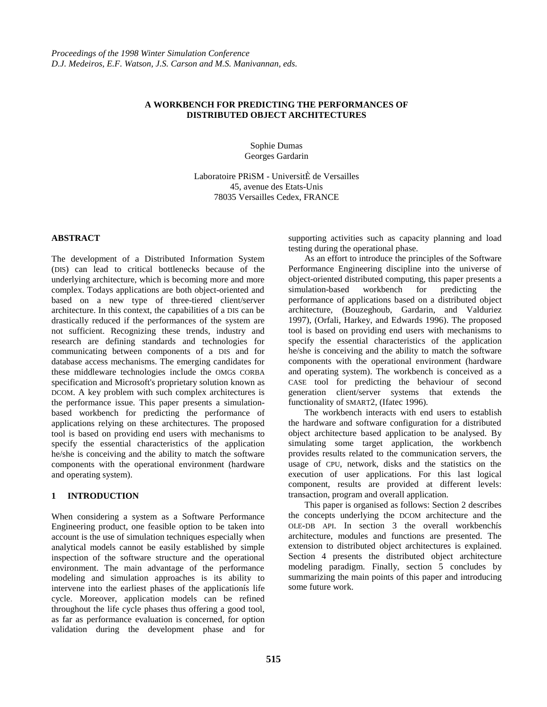## **A WORKBENCH FOR PREDICTING THE PERFORMANCES OF DISTRIBUTED OBJECT ARCHITECTURES**

Sophie Dumas Georges Gardarin

Laboratoire PRiSM - UniversitÈ de Versailles 45, avenue des Etats-Unis 78035 Versailles Cedex, FRANCE

# **ABSTRACT**

The development of a Distributed Information System (DIS) can lead to critical bottlenecks because of the underlying architecture, which is becoming more and more complex. Todays applications are both object-oriented and based on a new type of three-tiered client/server architecture. In this context, the capabilities of a DIS can be drastically reduced if the performances of the system are not sufficient. Recognizing these trends, industry and research are defining standards and technologies for communicating between components of a DIS and for database access mechanisms. The emerging candidates for these middleware technologies include the OMGs CORBA specification and Microsoft's proprietary solution known as DCOM. A key problem with such complex architectures is the performance issue. This paper presents a simulationbased workbench for predicting the performance of applications relying on these architectures. The proposed tool is based on providing end users with mechanisms to specify the essential characteristics of the application he/she is conceiving and the ability to match the software components with the operational environment (hardware and operating system).

# **1 INTRODUCTION**

When considering a system as a Software Performance Engineering product, one feasible option to be taken into account is the use of simulation techniques especially when analytical models cannot be easily established by simple inspection of the software structure and the operational environment. The main advantage of the performance modeling and simulation approaches is its ability to intervene into the earliest phases of the applicationís life cycle. Moreover, application models can be refined throughout the life cycle phases thus offering a good tool, as far as performance evaluation is concerned, for option validation during the development phase and for

supporting activities such as capacity planning and load testing during the operational phase.

As an effort to introduce the principles of the Software Performance Engineering discipline into the universe of object-oriented distributed computing, this paper presents a simulation-based workbench for predicting the performance of applications based on a distributed object architecture, (Bouzeghoub, Gardarin, and Valduriez 1997), (Orfali, Harkey, and Edwards 1996). The proposed tool is based on providing end users with mechanisms to specify the essential characteristics of the application he/she is conceiving and the ability to match the software components with the operational environment (hardware and operating system). The workbench is conceived as a CASE tool for predicting the behaviour of second generation client/server systems that extends the functionality of SMART2, (Ifatec 1996).

The workbench interacts with end users to establish the hardware and software configuration for a distributed object architecture based application to be analysed. By simulating some target application, the workbench provides results related to the communication servers, the usage of CPU, network, disks and the statistics on the execution of user applications. For this last logical component, results are provided at different levels: transaction, program and overall application.

This paper is organised as follows: Section 2 describes the concepts underlying the DCOM architecture and the OLE-DB API. In section 3 the overall workbenchís architecture, modules and functions are presented. The extension to distributed object architectures is explained. Section 4 presents the distributed object architecture modeling paradigm. Finally, section 5 concludes by summarizing the main points of this paper and introducing some future work.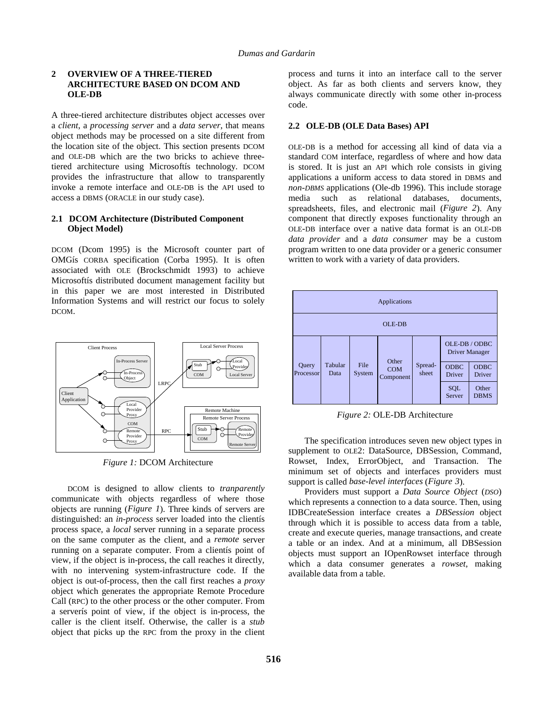# **2 OVERVIEW OF A THREE-TIERED ARCHITECTURE BASED ON DCOM AND OLE-DB**

A three-tiered architecture distributes object accesses over a *client*, a *processing server* and a *data server*, that means object methods may be processed on a site different from the location site of the object. This section presents DCOM and OLE-DB which are the two bricks to achieve threetiered architecture using Microsoftís technology. DCOM provides the infrastructure that allow to transparently invoke a remote interface and OLE-DB is the API used to access a DBMS (ORACLE in our study case).

## **2.1 DCOM Architecture (Distributed Component Object Model)**

DCOM (Dcom 1995) is the Microsoft counter part of OMGís CORBA specification (Corba 1995). It is often associated with OLE (Brockschmidt 1993) to achieve Microsoftís distributed document management facility but in this paper we are most interested in Distributed Information Systems and will restrict our focus to solely DCOM.



*Figure 1:* DCOM Architecture

DCOM is designed to allow clients to *tranparently* communicate with objects regardless of where those objects are running (*Figure 1*). Three kinds of servers are distinguished: an *in-process* server loaded into the clientís process space, a *local* server running in a separate process on the same computer as the client, and a *remote* server running on a separate computer. From a clientís point of view, if the object is in-process, the call reaches it directly, with no intervening system-infrastructure code. If the object is out-of-process, then the call first reaches a *proxy* object which generates the appropriate Remote Procedure Call (RPC) to the other process or the other computer. From a serverís point of view, if the object is in-process, the caller is the client itself. Otherwise, the caller is a *stub* object that picks up the RPC from the proxy in the client

process and turns it into an interface call to the server object. As far as both clients and servers know, they always communicate directly with some other in-process code.

# **2.2 OLE-DB (OLE Data Bases) API**

OLE-DB is a method for accessing all kind of data via a standard COM interface, regardless of where and how data is stored. It is just an API which role consists in giving applications a uniform access to data stored in DBMS and *non-DBMS* applications (Ole-db 1996). This include storage media such as relational databases, documents, spreadsheets, files, and electronic mail (*Figure 2*). Any component that directly exposes functionality through an OLE-DB interface over a native data format is an OLE-DB *data provider* and a *data consumer* may be a custom program written to one data provider or a generic consumer written to work with a variety of data providers.



*Figure 2:* OLE-DB Architecture

The specification introduces seven new object types in supplement to OLE2: DataSource, DBSession, Command, Rowset, Index, ErrorObject, and Transaction. The minimum set of objects and interfaces providers must support is called *base-level interfaces* (*Figure 3*).

Providers must support a *Data Source Object* (*DSO*) which represents a connection to a data source. Then, using IDBCreateSession interface creates a *DBSession* object through which it is possible to access data from a table, create and execute queries, manage transactions, and create a table or an index. And at a minimum, all DBSession objects must support an IOpenRowset interface through which a data consumer generates a *rowset*, making available data from a table.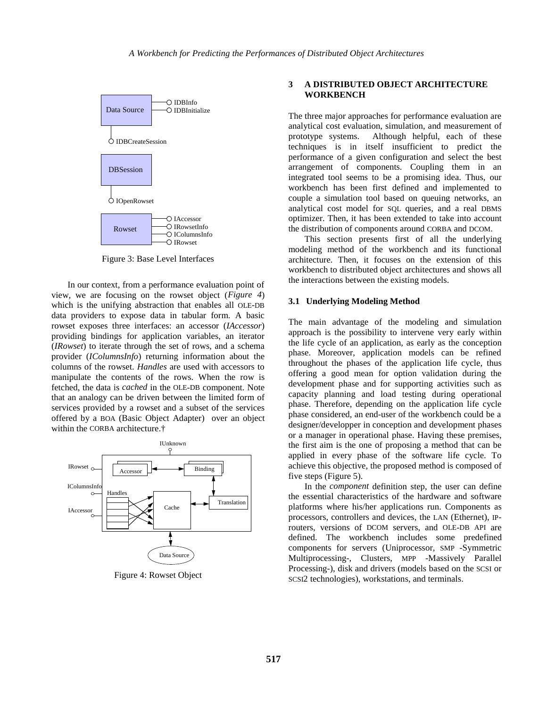

Figure 3: Base Level Interfaces

In our context, from a performance evaluation point of view, we are focusing on the rowset object (*Figure 4*) which is the unifying abstraction that enables all OLE-DB data providers to expose data in tabular form. A basic rowset exposes three interfaces: an accessor (*IAccessor*) providing bindings for application variables, an iterator (*IRowset*) to iterate through the set of rows, and a schema provider (*IColumnsInfo*) returning information about the columns of the rowset. *Handles* are used with accessors to manipulate the contents of the rows. When the row is fetched, the data is *cached* in the OLE-DB component. Note that an analogy can be driven between the limited form of services provided by a rowset and a subset of the services offered by a BOA (Basic Object Adapter) over an object within the CORBA architecture.†



Figure 4: Rowset Object

## **3 A DISTRIBUTED OBJECT ARCHITECTURE WORKBENCH**

The three major approaches for performance evaluation are analytical cost evaluation, simulation, and measurement of prototype systems. Although helpful, each of these techniques is in itself insufficient to predict the performance of a given configuration and select the best arrangement of components. Coupling them in an integrated tool seems to be a promising idea. Thus, our workbench has been first defined and implemented to couple a simulation tool based on queuing networks, an analytical cost model for SQL queries, and a real DBMS optimizer. Then, it has been extended to take into account the distribution of components around CORBA and DCOM.

This section presents first of all the underlying modeling method of the workbench and its functional architecture. Then, it focuses on the extension of this workbench to distributed object architectures and shows all the interactions between the existing models.

#### **3.1 Underlying Modeling Method**

The main advantage of the modeling and simulation approach is the possibility to intervene very early within the life cycle of an application, as early as the conception phase. Moreover, application models can be refined throughout the phases of the application life cycle, thus offering a good mean for option validation during the development phase and for supporting activities such as capacity planning and load testing during operational phase. Therefore, depending on the application life cycle phase considered, an end-user of the workbench could be a designer/developper in conception and development phases or a manager in operational phase. Having these premises, the first aim is the one of proposing a method that can be applied in every phase of the software life cycle. To achieve this objective, the proposed method is composed of five steps (Figure 5).

In the *component* definition step, the user can define the essential characteristics of the hardware and software platforms where his/her applications run. Components as processors, controllers and devices, the LAN (Ethernet), IProuters, versions of DCOM servers, and OLE-DB API are defined. The workbench includes some predefined components for servers (Uniprocessor, SMP -Symmetric Multiprocessing-, Clusters, MPP -Massively Parallel Processing-), disk and drivers (models based on the SCSI or SCSI2 technologies), workstations, and terminals.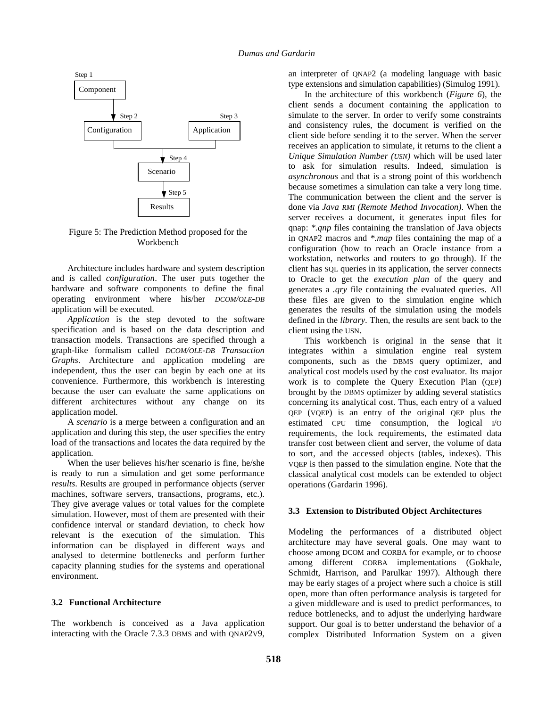

Figure 5: The Prediction Method proposed for the Workbench

Architecture includes hardware and system description and is called *configuration*. The user puts together the hardware and software components to define the final operating environment where his/her *DCOM/OLE-DB* application will be executed.

*Application* is the step devoted to the software specification and is based on the data description and transaction models. Transactions are specified through a graph-like formalism called *DCOM/OLE-DB Transaction Graphs*. Architecture and application modeling are independent, thus the user can begin by each one at its convenience. Furthermore, this workbench is interesting because the user can evaluate the same applications on different architectures without any change on its application model.

A *scenario* is a merge between a configuration and an application and during this step, the user specifies the entry load of the transactions and locates the data required by the application.

When the user believes his/her scenario is fine, he/she is ready to run a simulation and get some performance *results*. Results are grouped in performance objects (server machines, software servers, transactions, programs, etc.). They give average values or total values for the complete simulation. However, most of them are presented with their confidence interval or standard deviation, to check how relevant is the execution of the simulation. This information can be displayed in different ways and analysed to determine bottlenecks and perform further capacity planning studies for the systems and operational environment.

### **3.2 Functional Architecture**

The workbench is conceived as a Java application interacting with the Oracle 7.3.3 DBMS and with QNAP2V9, an interpreter of QNAP2 (a modeling language with basic type extensions and simulation capabilities) (Simulog 1991).

In the architecture of this workbench (*Figure 6*), the client sends a document containing the application to simulate to the server. In order to verify some constraints and consistency rules, the document is verified on the client side before sending it to the server. When the server receives an application to simulate, it returns to the client a *Unique Simulation Number (USN)* which will be used later to ask for simulation results. Indeed, simulation is *asynchronous* and that is a strong point of this workbench because sometimes a simulation can take a very long time. The communication between the client and the server is done via *Java RMI (Remote Method Invocation)*. When the server receives a document, it generates input files for qnap: *\*.qnp* files containing the translation of Java objects in QNAP2 macros and *\*.map* files containing the map of a configuration (how to reach an Oracle instance from a workstation, networks and routers to go through). If the client has SQL queries in its application, the server connects to Oracle to get the *execution plan* of the query and generates a *.qry* file containing the evaluated queries. All these files are given to the simulation engine which generates the results of the simulation using the models defined in the *library*. Then, the results are sent back to the client using the USN.

This workbench is original in the sense that it integrates within a simulation engine real system components, such as the DBMS query optimizer, and analytical cost models used by the cost evaluator. Its major work is to complete the Query Execution Plan (QEP) brought by the DBMS optimizer by adding several statistics concerning its analytical cost. Thus, each entry of a valued QEP (VQEP) is an entry of the original QEP plus the estimated CPU time consumption, the logical I/O requirements, the lock requirements, the estimated data transfer cost between client and server, the volume of data to sort, and the accessed objects (tables, indexes). This VQEP is then passed to the simulation engine. Note that the classical analytical cost models can be extended to object operations (Gardarin 1996).

### **3.3 Extension to Distributed Object Architectures**

Modeling the performances of a distributed object architecture may have several goals. One may want to choose among DCOM and CORBA for example, or to choose among different CORBA implementations (Gokhale, Schmidt, Harrison, and Parulkar 1997). Although there may be early stages of a project where such a choice is still open, more than often performance analysis is targeted for a given middleware and is used to predict performances, to reduce bottlenecks, and to adjust the underlying hardware support. Our goal is to better understand the behavior of a complex Distributed Information System on a given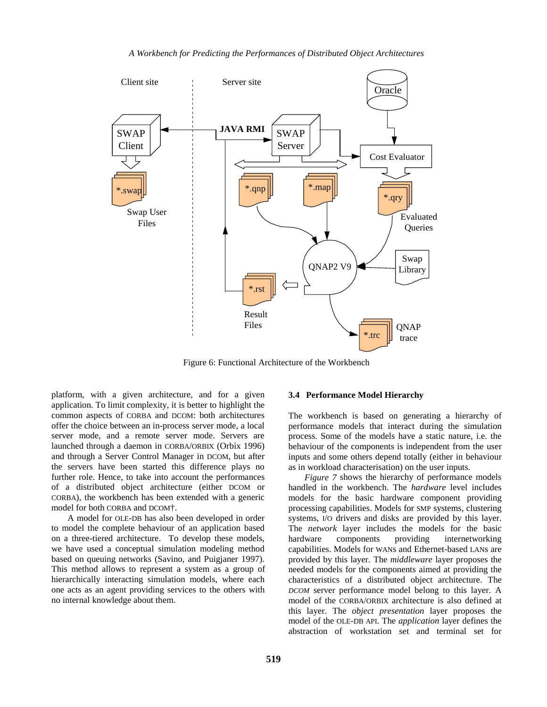

Figure 6: Functional Architecture of the Workbench

platform, with a given architecture, and for a given application. To limit complexity, it is better to highlight the common aspects of CORBA and DCOM: both architectures offer the choice between an in-process server mode, a local server mode, and a remote server mode. Servers are launched through a daemon in CORBA/ORBIX (Orbix 1996) and through a Server Control Manager in DCOM, but after the servers have been started this difference plays no further role. Hence, to take into account the performances of a distributed object architecture (either DCOM or CORBA), the workbench has been extended with a generic model for both CORBA and DCOM†.

A model for OLE-DB has also been developed in order to model the complete behaviour of an application based on a three-tiered architecture. To develop these models, we have used a conceptual simulation modeling method based on queuing networks (Savino, and Puigjaner 1997). This method allows to represent a system as a group of hierarchically interacting simulation models, where each one acts as an agent providing services to the others with no internal knowledge about them.

#### **3.4 Performance Model Hierarchy**

The workbench is based on generating a hierarchy of performance models that interact during the simulation process. Some of the models have a static nature, i.e. the behaviour of the components is independent from the user inputs and some others depend totally (either in behaviour as in workload characterisation) on the user inputs.

*Figure 7* shows the hierarchy of performance models handled in the workbench. The *hardware* level includes models for the basic hardware component providing processing capabilities. Models for SMP systems, clustering systems, I/O drivers and disks are provided by this layer. The *network* layer includes the models for the basic hardware components providing internetworking capabilities. Models for WANs and Ethernet-based LANs are provided by this layer. The *middleware* layer proposes the needed models for the components aimed at providing the characteristics of a distributed object architecture. The *DCOM* server performance model belong to this layer. A model of the CORBA/ORBIX architecture is also defined at this layer. The *object presentation* layer proposes the model of the OLE-DB API. The *application* layer defines the abstraction of workstation set and terminal set for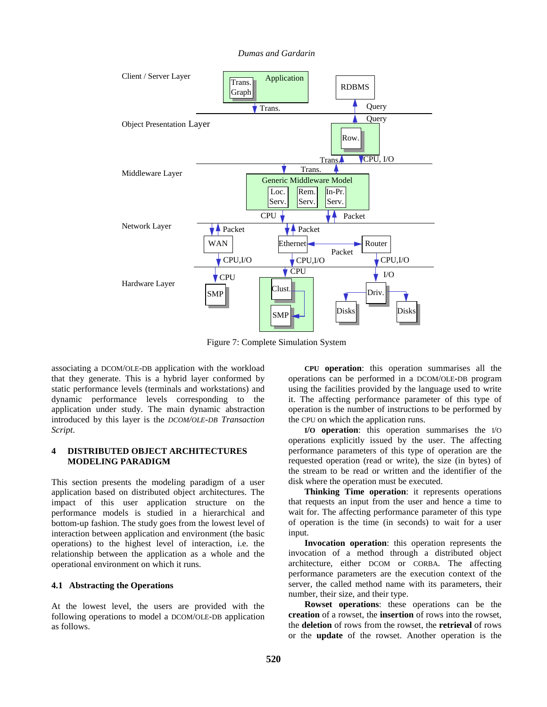*Dumas and Gardarin*



Figure 7: Complete Simulation System

associating a DCOM/OLE-DB application with the workload that they generate. This is a hybrid layer conformed by static performance levels (terminals and workstations) and dynamic performance levels corresponding to the application under study. The main dynamic abstraction introduced by this layer is the *DCOM/OLE-DB Transaction Script*.

# **4 DISTRIBUTED OBJECT ARCHITECTURES MODELING PARADIGM**

This section presents the modeling paradigm of a user application based on distributed object architectures. The impact of this user application structure on the performance models is studied in a hierarchical and bottom-up fashion. The study goes from the lowest level of interaction between application and environment (the basic operations) to the highest level of interaction, i.e. the relationship between the application as a whole and the operational environment on which it runs.

### **4.1 Abstracting the Operations**

At the lowest level, the users are provided with the following operations to model a DCOM/OLE-DB application as follows.

**CPU operation**: this operation summarises all the operations can be performed in a DCOM/OLE-DB program using the facilities provided by the language used to write it. The affecting performance parameter of this type of operation is the number of instructions to be performed by the CPU on which the application runs.

**I/O operation**: this operation summarises the I/O operations explicitly issued by the user. The affecting performance parameters of this type of operation are the requested operation (read or write), the size (in bytes) of the stream to be read or written and the identifier of the disk where the operation must be executed.

**Thinking Time operation**: it represents operations that requests an input from the user and hence a time to wait for. The affecting performance parameter of this type of operation is the time (in seconds) to wait for a user input.

**Invocation operation**: this operation represents the invocation of a method through a distributed object architecture, either DCOM or CORBA. The affecting performance parameters are the execution context of the server, the called method name with its parameters, their number, their size, and their type.

**Rowset operations**: these operations can be the **creation** of a rowset, the **insertion** of rows into the rowset, the **deletion** of rows from the rowset, the **retrieval** of rows or the **update** of the rowset. Another operation is the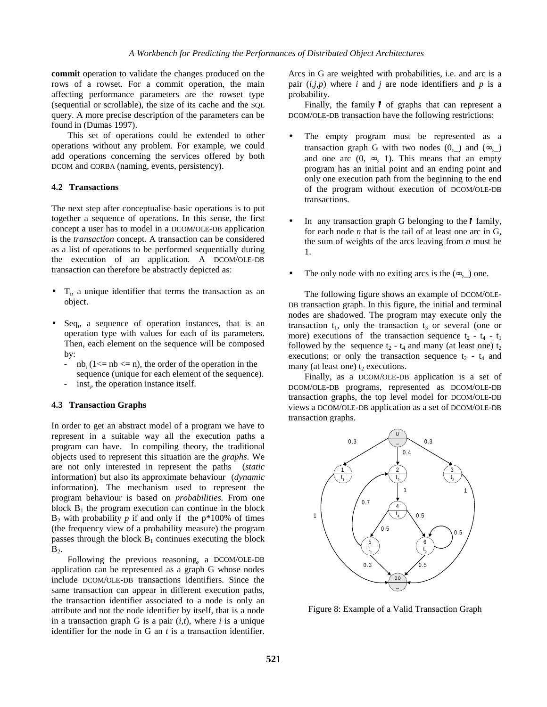**commit** operation to validate the changes produced on the rows of a rowset. For a commit operation, the main affecting performance parameters are the rowset type (sequential or scrollable), the size of its cache and the SQL query. A more precise description of the parameters can be found in (Dumas 1997).

This set of operations could be extended to other operations without any problem. For example, we could add operations concerning the services offered by both DCOM and CORBA (naming, events, persistency).

#### **4.2 Transactions**

The next step after conceptualise basic operations is to put together a sequence of operations. In this sense, the first concept a user has to model in a DCOM/OLE-DB application is the *transaction* concept. A transaction can be considered as a list of operations to be performed sequentially during the execution of an application. A DCOM/OLE-DB transaction can therefore be abstractly depicted as:

- $T_i$ , a unique identifier that terms the transaction as an object.
- Seq<sub>i</sub>, a sequence of operation instances, that is an operation type with values for each of its parameters. Then, each element on the sequence will be composed by:
	- $nb_i$  (1 < = nb < = n), the order of the operation in the sequence (unique for each element of the sequence).
	- inst<sub>i</sub>, the operation instance itself.

#### **4.3 Transaction Graphs**

In order to get an abstract model of a program we have to represent in a suitable way all the execution paths a program can have. In compiling theory, the traditional objects used to represent this situation are the *graphs*. We are not only interested in represent the paths (*static* information) but also its approximate behaviour (*dynamic* information). The mechanism used to represent the program behaviour is based on *probabilities*. From one block  $B_1$  the program execution can continue in the block  $B_2$  with probability *p* if and only if the p\*100% of times (the frequency view of a probability measure) the program passes through the block  $B_1$  continues executing the block  $B_2$ .

Following the previous reasoning, a DCOM/OLE-DB application can be represented as a graph G whose nodes include DCOM/OLE-DB transactions identifiers. Since the same transaction can appear in different execution paths, the transaction identifier associated to a node is only an attribute and not the node identifier by itself, that is a node in a transaction graph G is a pair  $(i, t)$ , where *i* is a unique identifier for the node in G an *t* is a transaction identifier.

Arcs in G are weighted with probabilities, i.e. and arc is a pair  $(i,j,p)$  where *i* and *j* are node identifiers and *p* is a probability.

Finally, the family  $\mathbf F$  of graphs that can represent a DCOM/OLE-DB transaction have the following restrictions:

- The empty program must be represented as a transaction graph G with two nodes  $(0, \cdot)$  and  $(\infty, \cdot)$ and one arc  $(0, \infty, 1)$ . This means that an empty program has an initial point and an ending point and only one execution path from the beginning to the end of the program without execution of DCOM/OLE-DB transactions.
- In any transaction graph G belonging to the *F* family, for each node  $n$  that is the tail of at least one arc in  $G$ , the sum of weights of the arcs leaving from *n* must be 1.
- The only node with no exiting arcs is the  $(\infty, \_)$  one.

The following figure shows an example of DCOM/OLE-DB transaction graph. In this figure, the initial and terminal nodes are shadowed. The program may execute only the transaction  $t_1$ , only the transaction  $t_3$  or several (one or more) executions of the transaction sequence  $t_2 - t_4 - t_1$ followed by the sequence  $t_2 - t_4$  and many (at least one)  $t_2$ executions; or only the transaction sequence  $t_2 - t_4$  and many (at least one)  $t_2$  executions.

Finally, as a DCOM/OLE-DB application is a set of DCOM/OLE-DB programs, represented as DCOM/OLE-DB transaction graphs, the top level model for DCOM/OLE-DB views a DCOM/OLE-DB application as a set of DCOM/OLE-DB transaction graphs.



Figure 8: Example of a Valid Transaction Graph